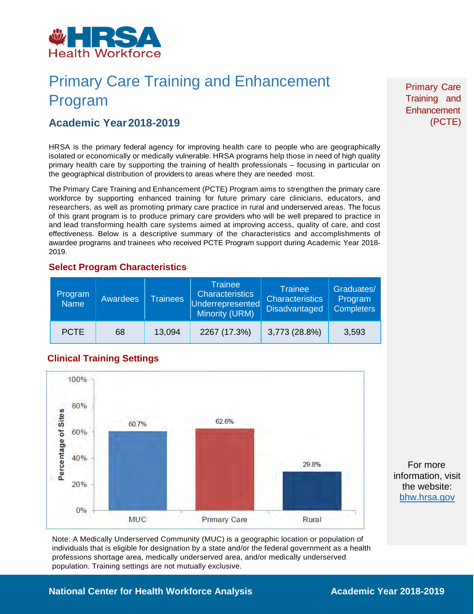

# Primary Care Training and Enhancement Program

### **Academic Year2018-2019**

 HRSA is the primary federal agency for improving health care to people who are geographically isolated or economically or medically vulnerable. HRSA programs help those in need of high quality the geographical distribution of providers to areas where they are needed most. primary health care by supporting the training of health professionals – focusing in particular on

 researchers, as well as promoting primary care practice in rural and underserved areas. The focus of this grant program is to produce primary care providers who will be well prepared to practice in and lead transforming health care systems aimed at improving access, quality of care, and cost awardee programs and trainees who received PCTE Program support during Academic Year 2018- The Primary Care Training and Enhancement (PCTE) Program aims to strengthen the primary care workforce by supporting enhanced training for future primary care clinicians, educators, and effectiveness. Below is a descriptive summary of the characteristics and accomplishments of 2019.

#### **Select Program Characteristics**

| Program<br><b>Name</b> | Awardees | <b>Trainees</b> | <b>Trainee</b><br><b>Characteristics</b><br>Underrepresented<br>Minority (URM) | <b>Trainee</b><br><b>Characteristics</b><br><b>Disadvantaged</b> | Graduates/<br>Program<br><b>Completers</b> |
|------------------------|----------|-----------------|--------------------------------------------------------------------------------|------------------------------------------------------------------|--------------------------------------------|
| <b>PCTE</b>            | 68       | 13,094          | 2267 (17.3%)                                                                   | 3,773 (28.8%)                                                    | 3,593                                      |

### **Clinical Training Settings**



 Note: A Medically Underserved Community (MUC) is a geographic location or population of individuals that is eligible for designation by a state and/or the federal government as a health professions shortage area, medically underserved area, and/or medically underserved population. Training settings are not mutually exclusive.

Primary Care Training and **Enhancement** (PCTE)

For more information, visit the website: [bhw.hrsa.gov](http://bhw.hrsa.gov/) 

### **National Center for Health Workforce Analysis Mational Center 2018-2019**